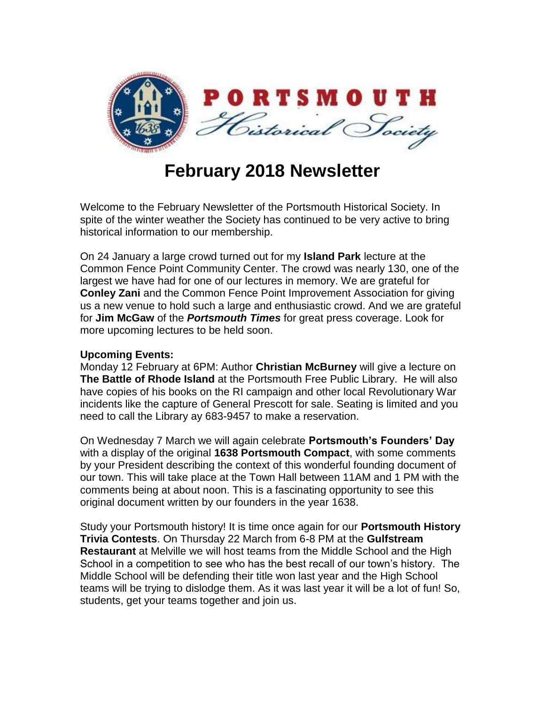

## **February 2018 Newsletter**

Welcome to the February Newsletter of the Portsmouth Historical Society. In spite of the winter weather the Society has continued to be very active to bring historical information to our membership.

On 24 January a large crowd turned out for my **Island Park** lecture at the Common Fence Point Community Center. The crowd was nearly 130, one of the largest we have had for one of our lectures in memory. We are grateful for **Conley Zani** and the Common Fence Point Improvement Association for giving us a new venue to hold such a large and enthusiastic crowd. And we are grateful for **Jim McGaw** of the *Portsmouth Times* for great press coverage. Look for more upcoming lectures to be held soon.

## **Upcoming Events:**

Monday 12 February at 6PM: Author **Christian McBurney** will give a lecture on **The Battle of Rhode Island** at the Portsmouth Free Public Library. He will also have copies of his books on the RI campaign and other local Revolutionary War incidents like the capture of General Prescott for sale. Seating is limited and you need to call the Library ay 683-9457 to make a reservation.

On Wednesday 7 March we will again celebrate **Portsmouth's Founders' Day** with a display of the original **1638 Portsmouth Compact**, with some comments by your President describing the context of this wonderful founding document of our town. This will take place at the Town Hall between 11AM and 1 PM with the comments being at about noon. This is a fascinating opportunity to see this original document written by our founders in the year 1638.

Study your Portsmouth history! It is time once again for our **Portsmouth History Trivia Contests**. On Thursday 22 March from 6-8 PM at the **Gulfstream Restaurant** at Melville we will host teams from the Middle School and the High School in a competition to see who has the best recall of our town's history. The Middle School will be defending their title won last year and the High School teams will be trying to dislodge them. As it was last year it will be a lot of fun! So, students, get your teams together and join us.